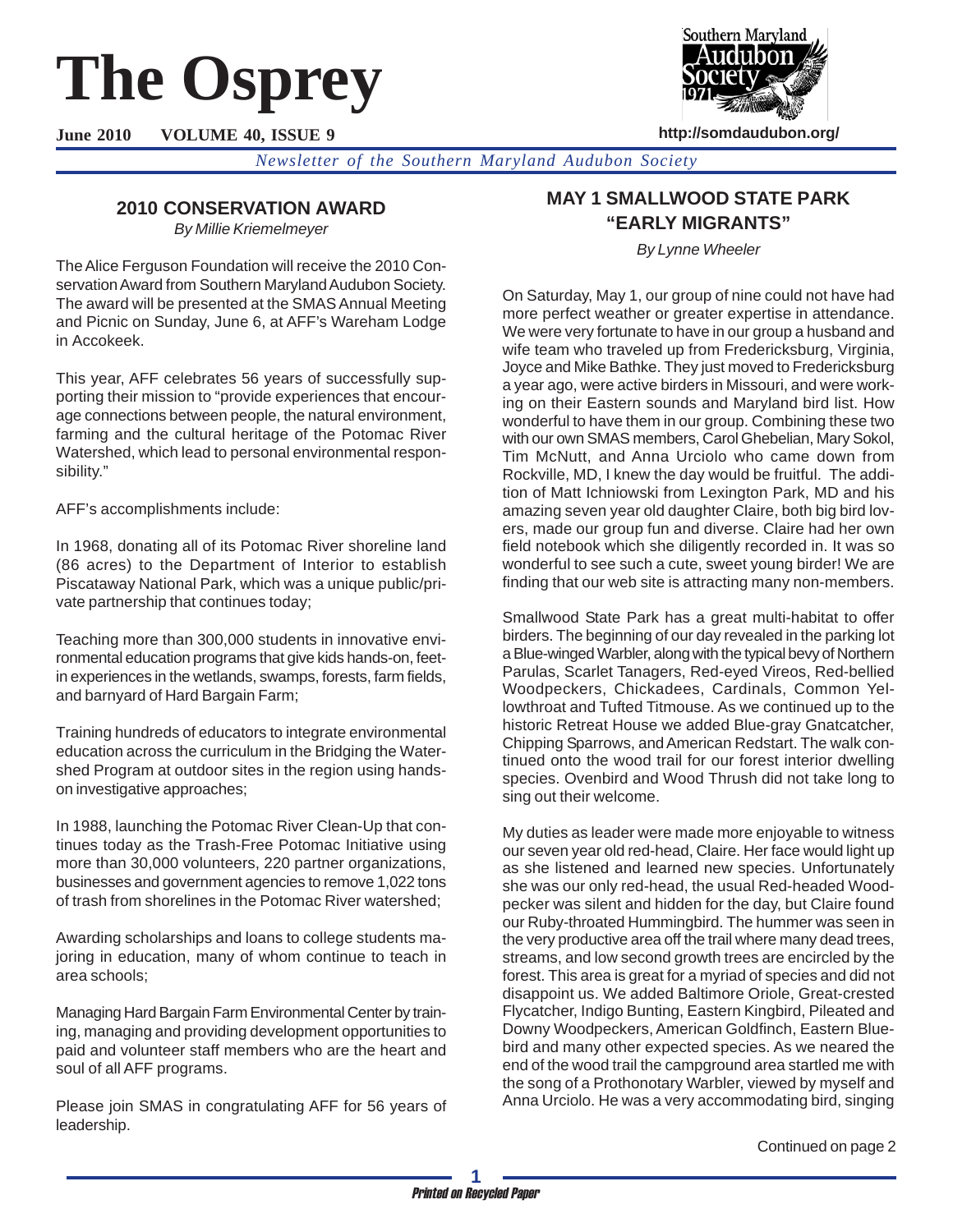# **The Osprey**

**June 2010 VOLUME 40, ISSUE 9**



**http://somdaudubon.org/**

*Newsletter of the Southern Maryland Audubon Society*

# **2010 CONSERVATION AWARD**

*By Millie Kriemelmeyer*

The Alice Ferguson Foundation will receive the 2010 Conservation Award from Southern Maryland Audubon Society. The award will be presented at the SMAS Annual Meeting and Picnic on Sunday, June 6, at AFF's Wareham Lodge in Accokeek.

This year, AFF celebrates 56 years of successfully supporting their mission to "provide experiences that encourage connections between people, the natural environment, farming and the cultural heritage of the Potomac River Watershed, which lead to personal environmental responsibility."

AFF's accomplishments include:

In 1968, donating all of its Potomac River shoreline land (86 acres) to the Department of Interior to establish Piscataway National Park, which was a unique public/private partnership that continues today;

Teaching more than 300,000 students in innovative environmental education programs that give kids hands-on, feetin experiences in the wetlands, swamps, forests, farm fields, and barnyard of Hard Bargain Farm;

Training hundreds of educators to integrate environmental education across the curriculum in the Bridging the Watershed Program at outdoor sites in the region using handson investigative approaches;

In 1988, launching the Potomac River Clean-Up that continues today as the Trash-Free Potomac Initiative using more than 30,000 volunteers, 220 partner organizations, businesses and government agencies to remove 1,022 tons of trash from shorelines in the Potomac River watershed;

Awarding scholarships and loans to college students majoring in education, many of whom continue to teach in area schools;

Managing Hard Bargain Farm Environmental Center by training, managing and providing development opportunities to paid and volunteer staff members who are the heart and soul of all AFF programs.

Please join SMAS in congratulating AFF for 56 years of leadership.

# **MAY 1 SMALLWOOD STATE PARK "EARLY MIGRANTS"**

*By Lynne Wheeler*

On Saturday, May 1, our group of nine could not have had more perfect weather or greater expertise in attendance. We were very fortunate to have in our group a husband and wife team who traveled up from Fredericksburg, Virginia, Joyce and Mike Bathke. They just moved to Fredericksburg a year ago, were active birders in Missouri, and were working on their Eastern sounds and Maryland bird list. How wonderful to have them in our group. Combining these two with our own SMAS members, Carol Ghebelian, Mary Sokol, Tim McNutt, and Anna Urciolo who came down from Rockville, MD, I knew the day would be fruitful. The addition of Matt Ichniowski from Lexington Park, MD and his amazing seven year old daughter Claire, both big bird lovers, made our group fun and diverse. Claire had her own field notebook which she diligently recorded in. It was so wonderful to see such a cute, sweet young birder! We are finding that our web site is attracting many non-members.

Smallwood State Park has a great multi-habitat to offer birders. The beginning of our day revealed in the parking lot a Blue-winged Warbler, along with the typical bevy of Northern Parulas, Scarlet Tanagers, Red-eyed Vireos, Red-bellied Woodpeckers, Chickadees, Cardinals, Common Yellowthroat and Tufted Titmouse. As we continued up to the historic Retreat House we added Blue-gray Gnatcatcher, Chipping Sparrows, and American Redstart. The walk continued onto the wood trail for our forest interior dwelling species. Ovenbird and Wood Thrush did not take long to sing out their welcome.

My duties as leader were made more enjoyable to witness our seven year old red-head, Claire. Her face would light up as she listened and learned new species. Unfortunately she was our only red-head, the usual Red-headed Woodpecker was silent and hidden for the day, but Claire found our Ruby-throated Hummingbird. The hummer was seen in the very productive area off the trail where many dead trees, streams, and low second growth trees are encircled by the forest. This area is great for a myriad of species and did not disappoint us. We added Baltimore Oriole, Great-crested Flycatcher, Indigo Bunting, Eastern Kingbird, Pileated and Downy Woodpeckers, American Goldfinch, Eastern Bluebird and many other expected species. As we neared the end of the wood trail the campground area startled me with the song of a Prothonotary Warbler, viewed by myself and Anna Urciolo. He was a very accommodating bird, singing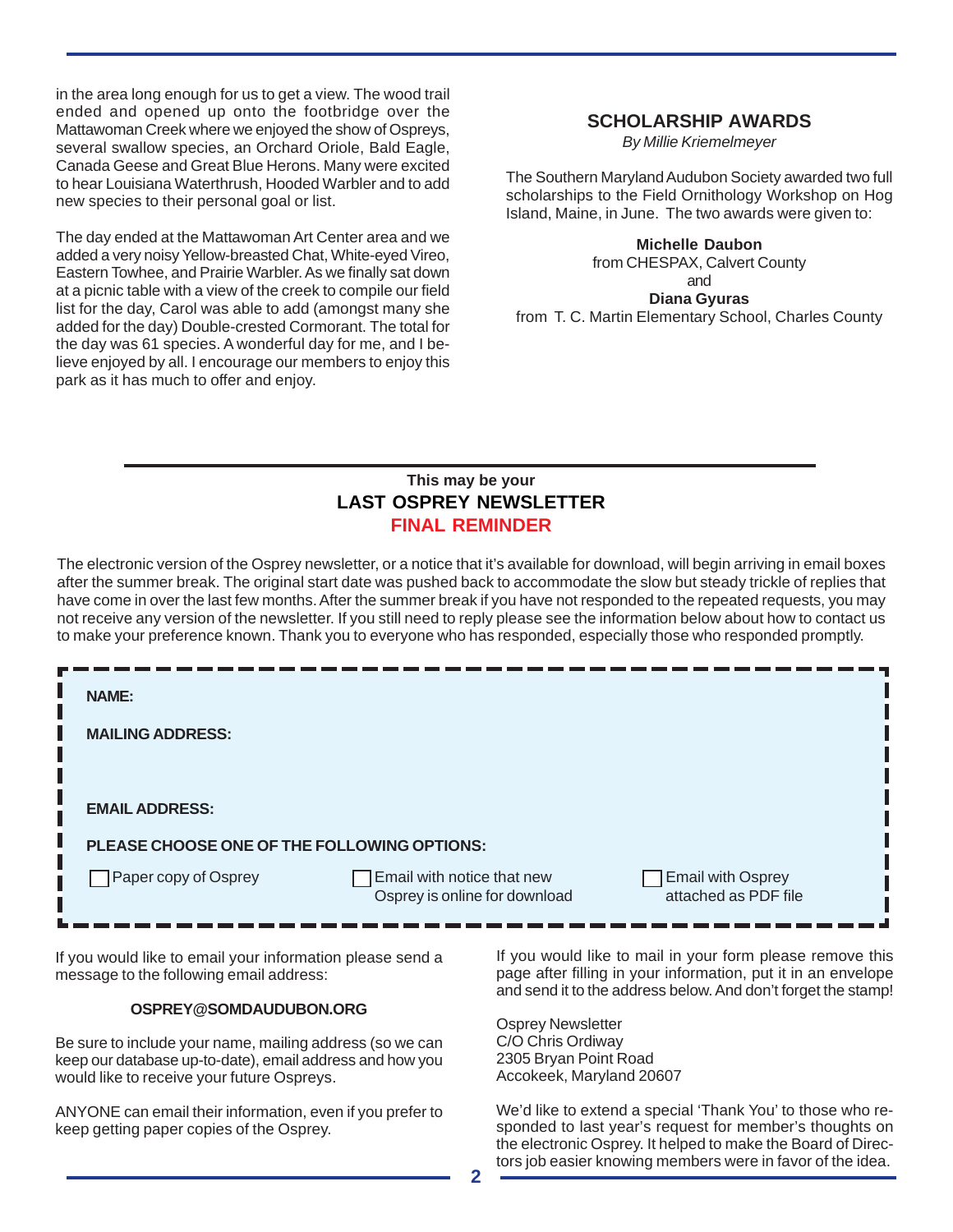in the area long enough for us to get a view. The wood trail ended and opened up onto the footbridge over the Mattawoman Creek where we enjoyed the show of Ospreys, several swallow species, an Orchard Oriole, Bald Eagle, Canada Geese and Great Blue Herons. Many were excited to hear Louisiana Waterthrush, Hooded Warbler and to add new species to their personal goal or list.

The day ended at the Mattawoman Art Center area and we added a very noisy Yellow-breasted Chat, White-eyed Vireo, Eastern Towhee, and Prairie Warbler. As we finally sat down at a picnic table with a view of the creek to compile our field list for the day, Carol was able to add (amongst many she added for the day) Double-crested Cormorant. The total for the day was 61 species. A wonderful day for me, and I believe enjoyed by all. I encourage our members to enjoy this park as it has much to offer and enjoy.

## **SCHOLARSHIP AWARDS**

*By Millie Kriemelmeyer*

The Southern Maryland Audubon Society awarded two full scholarships to the Field Ornithology Workshop on Hog Island, Maine, in June. The two awards were given to:

#### **Michelle Daubon**

from CHESPAX, Calvert County and **Diana Gyuras** from T. C. Martin Elementary School, Charles County

## **This may be your LAST OSPREY NEWSLETTER FINAL REMINDER**

The electronic version of the Osprey newsletter, or a notice that it's available for download, will begin arriving in email boxes after the summer break. The original start date was pushed back to accommodate the slow but steady trickle of replies that have come in over the last few months. After the summer break if you have not responded to the repeated requests, you may not receive any version of the newsletter. If you still need to reply please see the information below about how to contact us to make your preference known. Thank you to everyone who has responded, especially those who responded promptly.

| <b>NAME:</b>                                |  |                                                             |                                                  |  |  |
|---------------------------------------------|--|-------------------------------------------------------------|--------------------------------------------------|--|--|
| <b>MAILING ADDRESS:</b>                     |  |                                                             |                                                  |  |  |
| <b>EMAIL ADDRESS:</b>                       |  |                                                             |                                                  |  |  |
| PLEASE CHOOSE ONE OF THE FOLLOWING OPTIONS: |  |                                                             |                                                  |  |  |
| Paper copy of Osprey                        |  | Email with notice that new<br>Osprey is online for download | <b>Email with Osprey</b><br>attached as PDF file |  |  |

If you would like to email your information please send a message to the following email address:

### **OSPREY@SOMDAUDUBON.ORG**

Be sure to include your name, mailing address (so we can keep our database up-to-date), email address and how you would like to receive your future Ospreys.

ANYONE can email their information, even if you prefer to keep getting paper copies of the Osprey.

If you would like to mail in your form please remove this page after filling in your information, put it in an envelope and send it to the address below. And don't forget the stamp!

Osprey Newsletter C/O Chris Ordiway 2305 Bryan Point Road Accokeek, Maryland 20607

We'd like to extend a special 'Thank You' to those who responded to last year's request for member's thoughts on the electronic Osprey. It helped to make the Board of Directors job easier knowing members were in favor of the idea.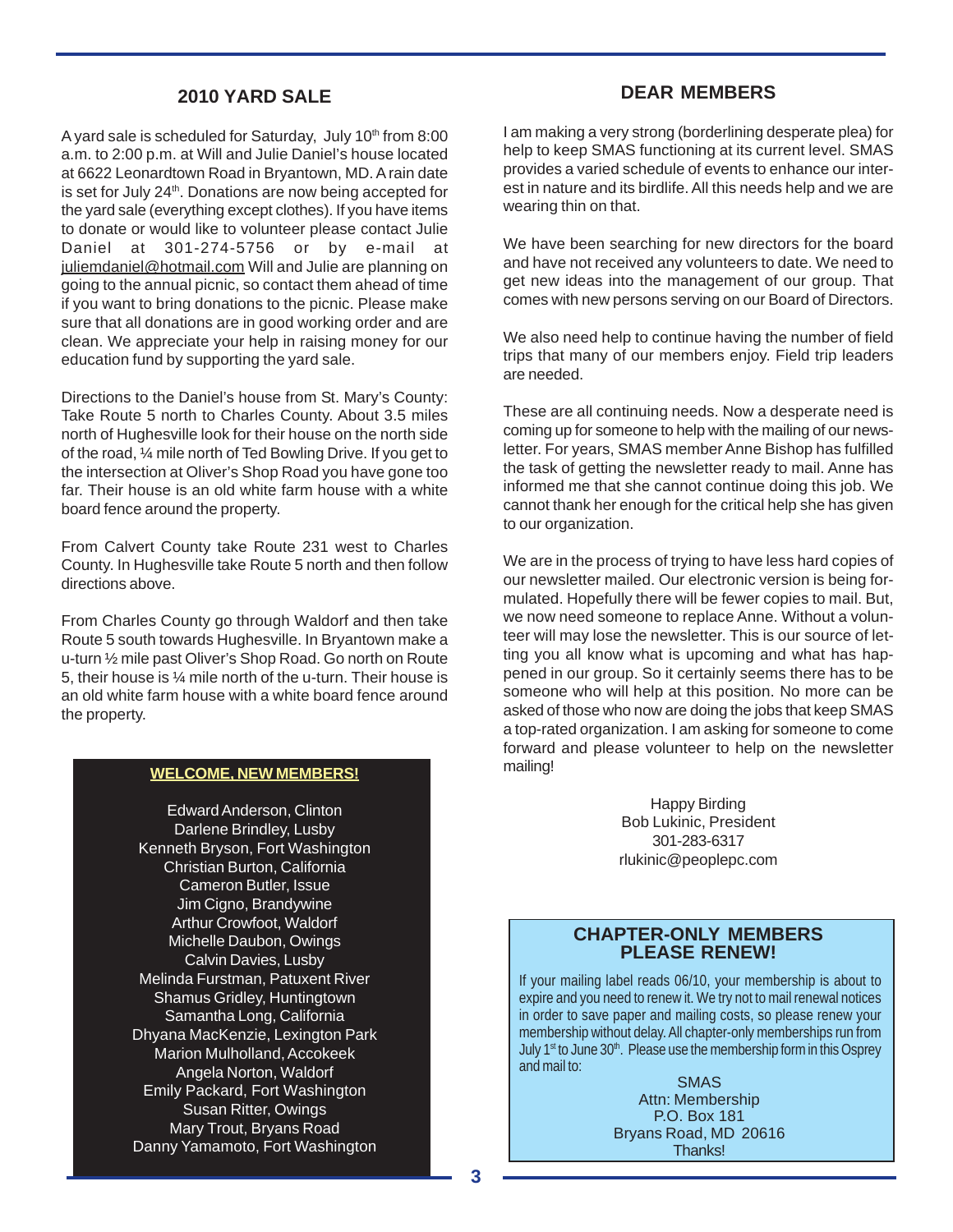## **2010 YARD SALE**

A yard sale is scheduled for Saturday, July  $10<sup>th</sup>$  from 8:00 a.m. to 2:00 p.m. at Will and Julie Daniel's house located at 6622 Leonardtown Road in Bryantown, MD. A rain date is set for July 24<sup>th</sup>. Donations are now being accepted for the yard sale (everything except clothes). If you have items to donate or would like to volunteer please contact Julie Daniel at 301-274-5756 or by e-mail at juliemdaniel@hotmail.com Will and Julie are planning on going to the annual picnic, so contact them ahead of time if you want to bring donations to the picnic. Please make sure that all donations are in good working order and are clean. We appreciate your help in raising money for our education fund by supporting the yard sale.

Directions to the Daniel's house from St. Mary's County: Take Route 5 north to Charles County. About 3.5 miles north of Hughesville look for their house on the north side of the road, ¼ mile north of Ted Bowling Drive. If you get to the intersection at Oliver's Shop Road you have gone too far. Their house is an old white farm house with a white board fence around the property.

From Calvert County take Route 231 west to Charles County. In Hughesville take Route 5 north and then follow directions above.

From Charles County go through Waldorf and then take Route 5 south towards Hughesville. In Bryantown make a u-turn ½ mile past Oliver's Shop Road. Go north on Route 5, their house is ¼ mile north of the u-turn. Their house is an old white farm house with a white board fence around the property.

### **WELCOME, NEW MEMBERS!**

Edward Anderson, Clinton Darlene Brindley, Lusby Kenneth Bryson, Fort Washington Christian Burton, California Cameron Butler, Issue Jim Cigno, Brandywine Arthur Crowfoot, Waldorf Michelle Daubon, Owings Calvin Davies, Lusby Melinda Furstman, Patuxent River Shamus Gridley, Huntingtown Samantha Long, California Dhyana MacKenzie, Lexington Park Marion Mulholland, Accokeek Angela Norton, Waldorf Emily Packard, Fort Washington Susan Ritter, Owings Mary Trout, Bryans Road Danny Yamamoto, Fort Washington

## **DEAR MEMBERS**

I am making a very strong (borderlining desperate plea) for help to keep SMAS functioning at its current level. SMAS provides a varied schedule of events to enhance our interest in nature and its birdlife. All this needs help and we are wearing thin on that.

We have been searching for new directors for the board and have not received any volunteers to date. We need to get new ideas into the management of our group. That comes with new persons serving on our Board of Directors.

We also need help to continue having the number of field trips that many of our members enjoy. Field trip leaders are needed.

These are all continuing needs. Now a desperate need is coming up for someone to help with the mailing of our newsletter. For years, SMAS member Anne Bishop has fulfilled the task of getting the newsletter ready to mail. Anne has informed me that she cannot continue doing this job. We cannot thank her enough for the critical help she has given to our organization.

We are in the process of trying to have less hard copies of our newsletter mailed. Our electronic version is being formulated. Hopefully there will be fewer copies to mail. But, we now need someone to replace Anne. Without a volunteer will may lose the newsletter. This is our source of letting you all know what is upcoming and what has happened in our group. So it certainly seems there has to be someone who will help at this position. No more can be asked of those who now are doing the jobs that keep SMAS a top-rated organization. I am asking for someone to come forward and please volunteer to help on the newsletter mailing!

> Happy Birding Bob Lukinic, President 301-283-6317 rlukinic@peoplepc.com

## **CHAPTER-ONLY MEMBERS PLEASE RENEW!**

If your mailing label reads 06/10, your membership is about to expire and you need to renew it. We try not to mail renewal notices in order to save paper and mailing costs, so please renew your membership without delay. All chapter-only memberships run from July 1<sup>st</sup> to June 30<sup>th</sup>. Please use the membership form in this Osprey and mail to:

SMAS Attn: Membership P.O. Box 181 Bryans Road, MD 20616 Thanks!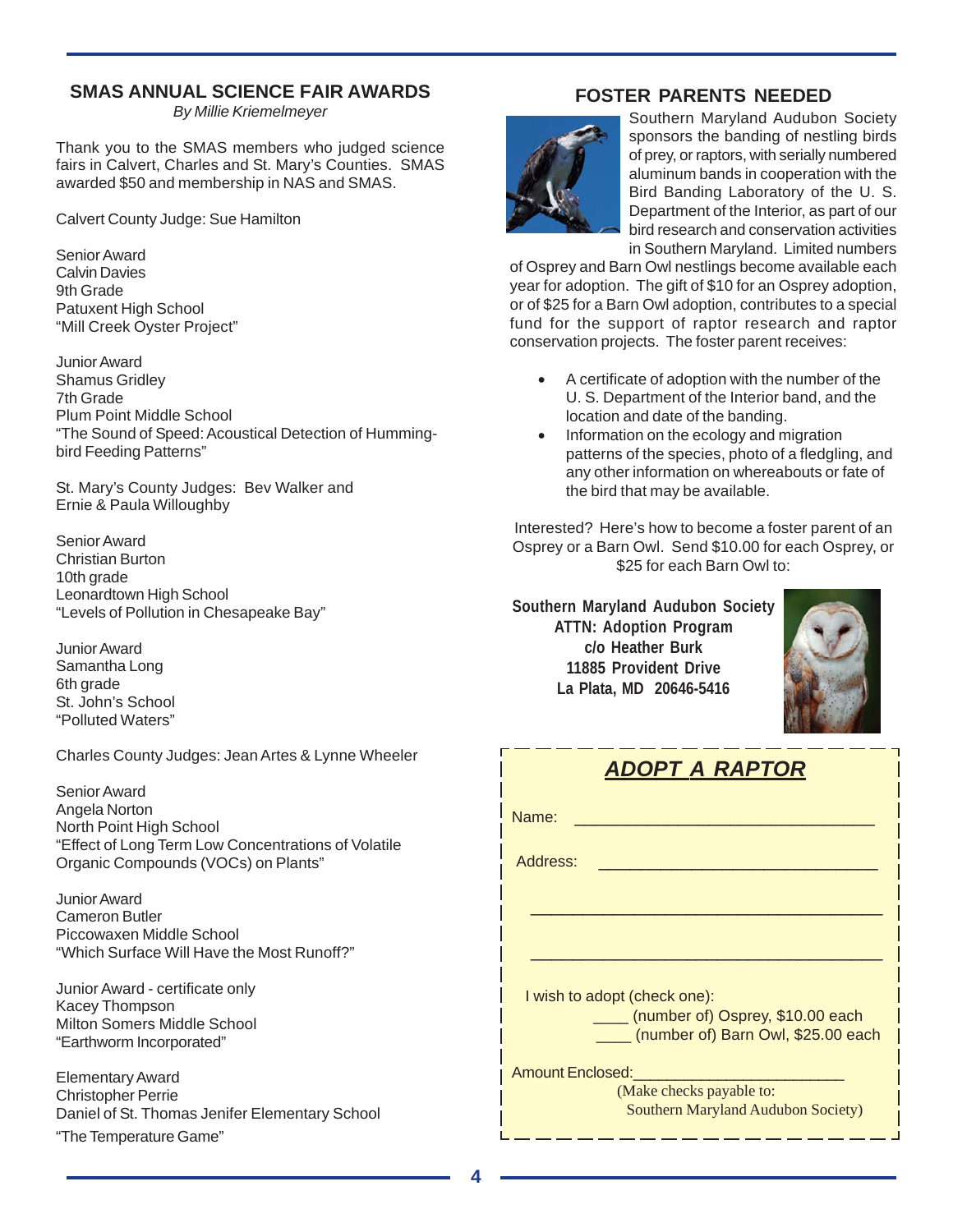# **SMAS ANNUAL SCIENCE FAIR AWARDS**

*By Millie Kriemelmeyer*

Thank you to the SMAS members who judged science fairs in Calvert, Charles and St. Mary's Counties. SMAS awarded \$50 and membership in NAS and SMAS.

Calvert County Judge: Sue Hamilton

Senior Award Calvin Davies 9th Grade Patuxent High School "Mill Creek Oyster Project"

Junior Award Shamus Gridley 7th Grade Plum Point Middle School "The Sound of Speed: Acoustical Detection of Hummingbird Feeding Patterns"

St. Mary's County Judges: Bev Walker and Ernie & Paula Willoughby

Senior Award Christian Burton 10th grade Leonardtown High School "Levels of Pollution in Chesapeake Bay"

Junior Award Samantha Long 6th grade St. John's School "Polluted Waters"

Charles County Judges: Jean Artes & Lynne Wheeler

Senior Award Angela Norton North Point High School "Effect of Long Term Low Concentrations of Volatile Organic Compounds (VOCs) on Plants"

Junior Award Cameron Butler Piccowaxen Middle School "Which Surface Will Have the Most Runoff?"

Junior Award - certificate only Kacey Thompson Milton Somers Middle School "Earthworm Incorporated"

Elementary Award Christopher Perrie Daniel of St. Thomas Jenifer Elementary School

## "The Temperature Game"

# **FOSTER PARENTS NEEDED**



Southern Maryland Audubon Society sponsors the banding of nestling birds of prey, or raptors, with serially numbered aluminum bands in cooperation with the Bird Banding Laboratory of the U. S. Department of the Interior, as part of our bird research and conservation activities in Southern Maryland. Limited numbers

of Osprey and Barn Owl nestlings become available each year for adoption. The gift of \$10 for an Osprey adoption, or of \$25 for a Barn Owl adoption, contributes to a special fund for the support of raptor research and raptor conservation projects. The foster parent receives:

- A certificate of adoption with the number of the U. S. Department of the Interior band, and the location and date of the banding.
- Information on the ecology and migration patterns of the species, photo of a fledgling, and any other information on whereabouts or fate of the bird that may be available.

Interested? Here's how to become a foster parent of an Osprey or a Barn Owl. Send \$10.00 for each Osprey, or \$25 for each Barn Owl to:

**Southern Maryland Audubon Society ATTN: Adoption Program c/o Heather Burk 11885 Provident Drive La Plata, MD 20646-5416**



| ADOPT A RAPTOR                                                         |
|------------------------------------------------------------------------|
| Name:                                                                  |
| Address:                                                               |
|                                                                        |
|                                                                        |
| I wish to adopt (check one):                                           |
| (number of) Osprey, \$10.00 each<br>(number of) Barn Owl, \$25.00 each |
| <b>Amount Enclosed:</b>                                                |
| (Make checks payable to:<br><b>Southern Maryland Audubon Society)</b>  |

\_\_\_\_\_\_\_\_\_\_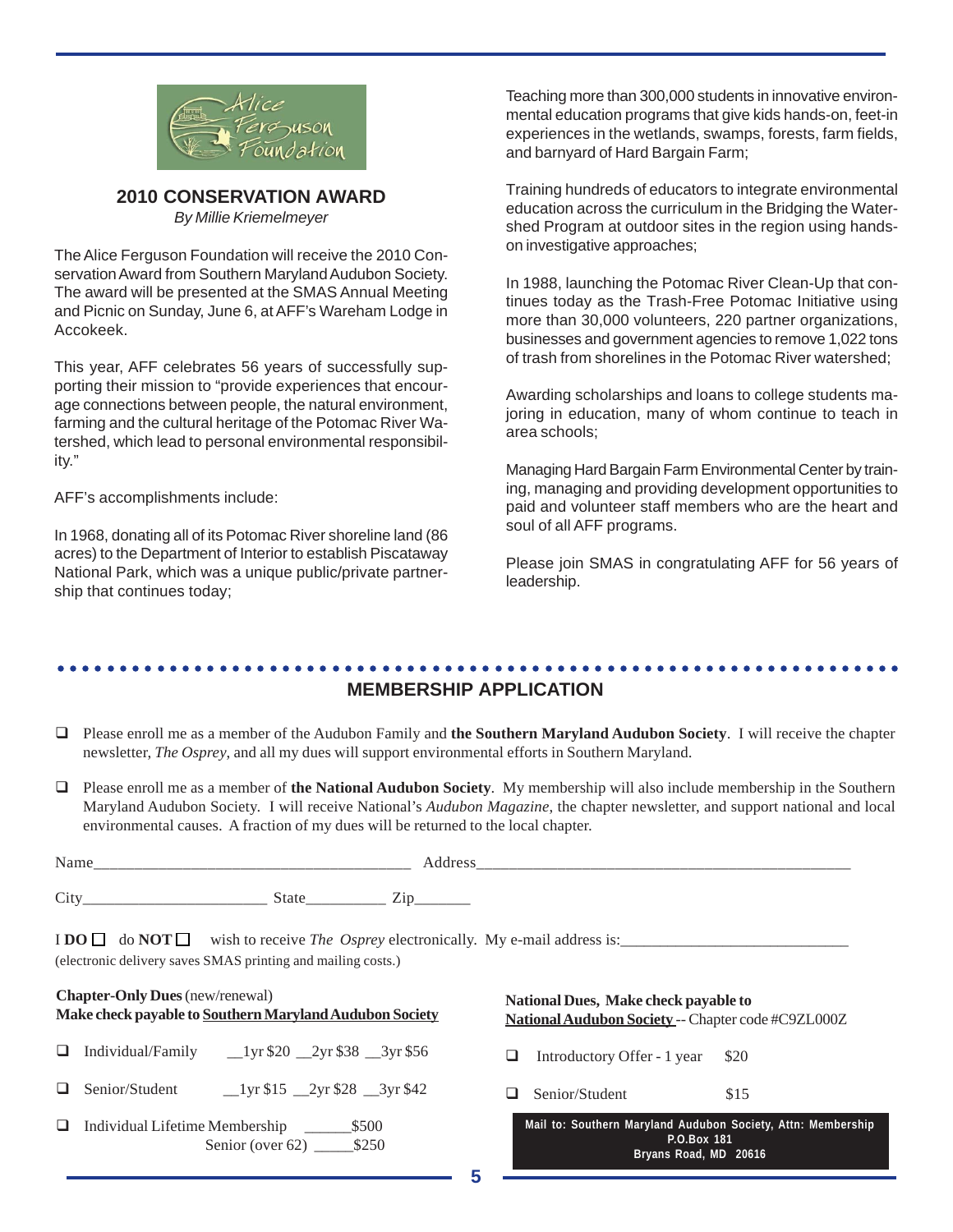

## **2010 CONSERVATION AWARD** *By Millie Kriemelmeyer*

The Alice Ferguson Foundation will receive the 2010 Conservation Award from Southern Maryland Audubon Society. The award will be presented at the SMAS Annual Meeting and Picnic on Sunday, June 6, at AFF's Wareham Lodge in Accokeek.

This year, AFF celebrates 56 years of successfully supporting their mission to "provide experiences that encourage connections between people, the natural environment, farming and the cultural heritage of the Potomac River Watershed, which lead to personal environmental responsibility."

AFF's accomplishments include:

In 1968, donating all of its Potomac River shoreline land (86 acres) to the Department of Interior to establish Piscataway National Park, which was a unique public/private partnership that continues today;

Teaching more than 300,000 students in innovative environmental education programs that give kids hands-on, feet-in experiences in the wetlands, swamps, forests, farm fields, and barnyard of Hard Bargain Farm;

Training hundreds of educators to integrate environmental education across the curriculum in the Bridging the Watershed Program at outdoor sites in the region using handson investigative approaches;

In 1988, launching the Potomac River Clean-Up that continues today as the Trash-Free Potomac Initiative using more than 30,000 volunteers, 220 partner organizations, businesses and government agencies to remove 1,022 tons of trash from shorelines in the Potomac River watershed;

Awarding scholarships and loans to college students majoring in education, many of whom continue to teach in area schools;

Managing Hard Bargain Farm Environmental Center by training, managing and providing development opportunities to paid and volunteer staff members who are the heart and soul of all AFF programs.

Please join SMAS in congratulating AFF for 56 years of leadership.

## ○○○○○○○○○○○○○○○○○○○○○○○○○○○○○○○○○○○○○○○○○○○○ ○○○○○○○○○○○○○○○○○○○○○○○○

## **MEMBERSHIP APPLICATION**

- Please enroll me as a member of the Audubon Family and **the Southern Maryland Audubon Society**. I will receive the chapter newsletter, *The Osprey*, and all my dues will support environmental efforts in Southern Maryland.
- Please enroll me as a member of **the National Audubon Society**. My membership will also include membership in the Southern Maryland Audubon Society. I will receive National's *Audubon Magazine*, the chapter newsletter, and support national and local environmental causes. A fraction of my dues will be returned to the local chapter.

| Nam. |                           |          |
|------|---------------------------|----------|
| Cit  | state<br>-<br>___________ | ________ |

 $\text{I} \text{DO} \Box$  do  $\text{NOT} \Box$  wish to receive *The Osprey* electronically. My e-mail address is: (electronic delivery saves SMAS printing and mailing costs.)

# **Chapter-Only Dues** (new/renewal) **Make check payable to Southern Maryland Audubon Society**

- $\Box$  Individual/Family  $\Box$ 1yr \$20  $\Box$ 2yr \$38  $\Box$ 3yr \$56
- $\Box$  Senior/Student  $\Box$ 1yr \$15  $\Box$ 2yr \$28  $\Box$ 3yr \$42
- Individual Lifetime Membership \_\_\_\_\_\_\$500 Senior (over 62) \$250

## **National Dues, Make check payable to National Audubon Society** -- Chapter code #C9ZL000Z

 $\Box$  Introductory Offer - 1 year \$20

 $\Box$  Senior/Student \$15

|             |  |  |  |                       |  | Mail to: Southern Maryland Audubon Society, Attn: Membership |
|-------------|--|--|--|-----------------------|--|--------------------------------------------------------------|
| P.O.Box 181 |  |  |  |                       |  |                                                              |
|             |  |  |  | Bryans Road, MD 20616 |  |                                                              |